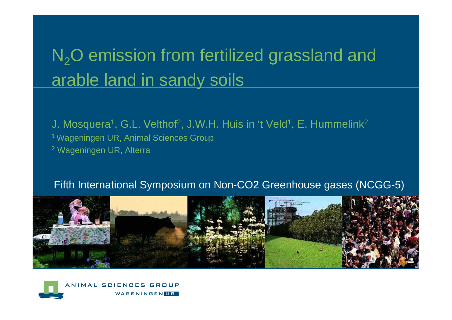## N<sub>2</sub>O emission from fertilized grassland and arable land in sandy soils

J. Mosquera<sup>1</sup>, G.L. Velthof<sup>2</sup>, J.W.H. Huis in 't Veld<sup>1</sup>, E. Hummelink<sup>2</sup> 1 Wageningen UR, Animal Sciences Group<sup>2</sup> Wageningen UR, Alterra

#### Fifth International Symposium on Non-CO2 Greenhouse gases (NCGG-5)



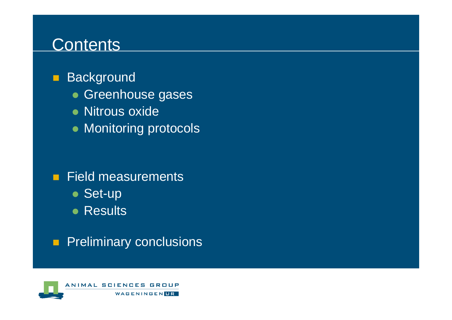#### **Contents**

- $\blacksquare$ **Background** 
	- Greenhouse gases
	- Nitrous oxide
	- $\bullet$  Monitoring protocols
- **Field measurements** 
	- Set-up
	- Results
- $\blacksquare$ Preliminary conclusions

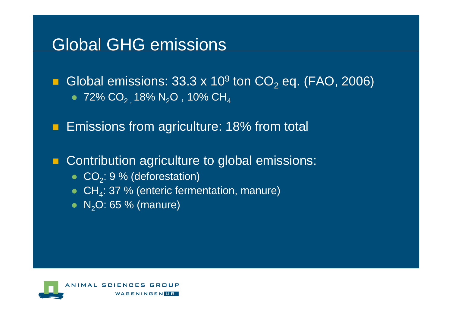#### Global GHG emissions

 $\blacksquare$  $\blacksquare$  Global emissions: 33.3 x 10 $^9$  ton CO $_2$  $_{\rm 2}$  eq. (FAO, 2006)  $\bullet \;$  72% CO $_{2}$  , 18% N $_{2}$ O , 10% CH $_{4}$ 

 $\blacksquare$ Emissions from agriculture: 18% from total

 $\blacksquare$ Contribution agriculture to global emissions:

- $CO_2$ : 9 % (deforestation)
- $CH_4$ : 37 % (enteric fermentation, manure)
- $\bullet \,$  N $_2$ O: 65 % (manure)

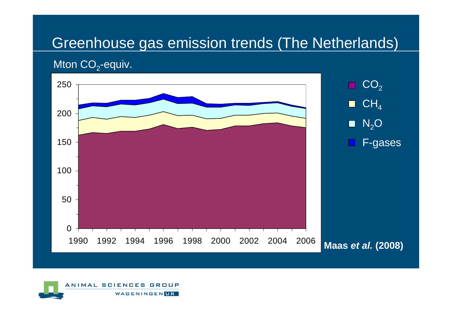#### Greenhouse gas emission trends (The Netherlands)

#### Mton CO $_2$ -equiv.



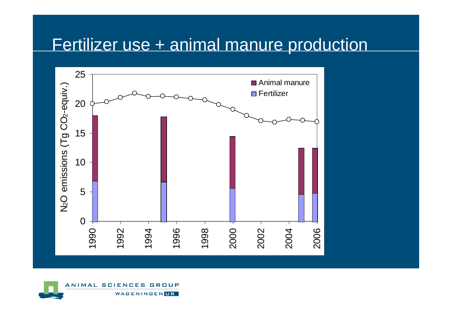#### Fertilizer use + animal manure production



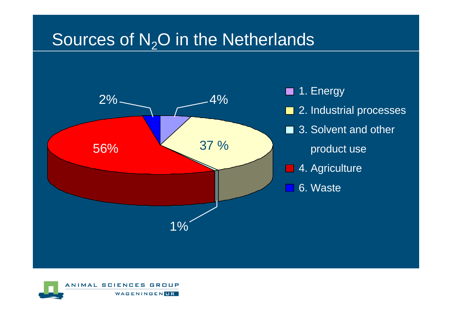## Sources of  $N<sub>2</sub>O$  in the Netherlands



**1.** Energy **■ 2. Industrial processes** ■ 3. Solvent and other product use**■ 4. Agriculture** 6. Waste

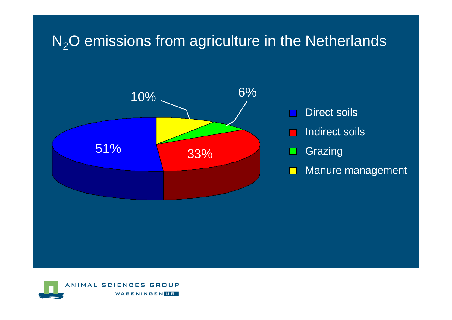#### N<sub>2</sub>O emissions from agriculture in the Netherlands



- Direct soils
- Indirect soilsa a
- **Grazing**  $\Box$
- Manure management $\Box$

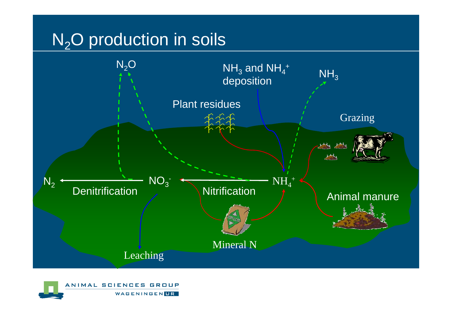## $N<sub>2</sub>O$  production in soils



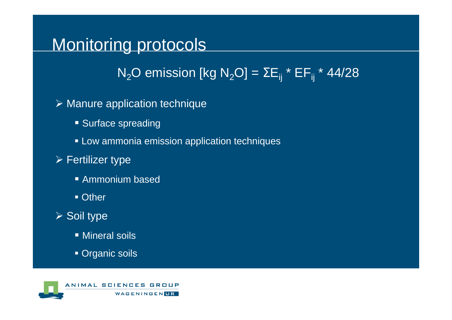#### Monitoring protocols

 $\mathsf{N}_2\mathsf{O}$  emission [kg  $\mathsf{N}_2\mathsf{O}]$  =  $\Sigma\mathsf{E}_{\mathsf{i}\mathsf{j}}$  \* EF $_{\mathsf{i}\mathsf{j}}$  \* 44/28

Manure application technique

- **Surface spreading**
- Low ammonia emission application techniques
- $\triangleright$  Fertilizer type
	- Ammonium based
	- Other
- Soil type
	- Mineral soils
	- Organic soils

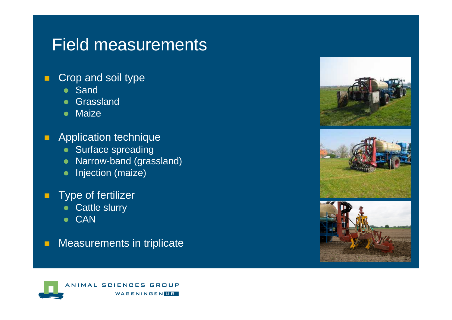#### Field measurements

- $\blacksquare$  Crop and soil type
	- Sand
	- Grassland
	- Maize
- $\blacksquare$  Application technique
	- Surface spreading
	- Narrow-band (grassland)
	- **•** Injection (maize)
- $\blacksquare$  Type of fertilizer
	- $\bullet$ Cattle slurry
	- CAN
- п Measurements in triplicate





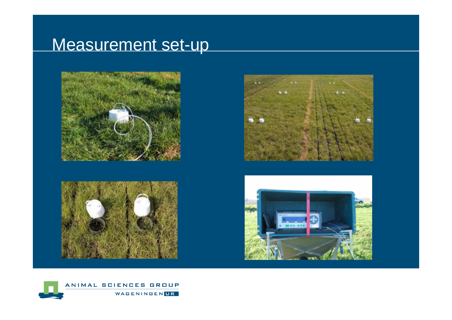## Measurement set-up









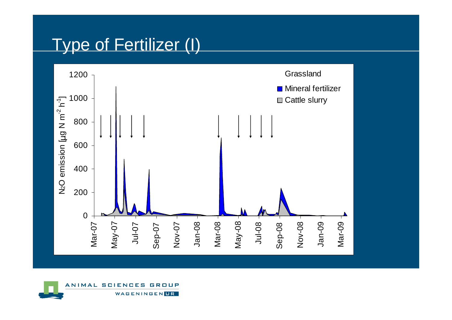#### Type of Fertilizer (I)



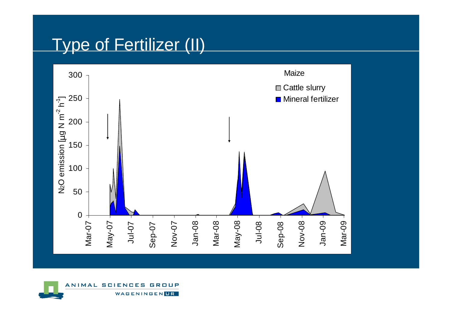## Type of Fertilizer (II)



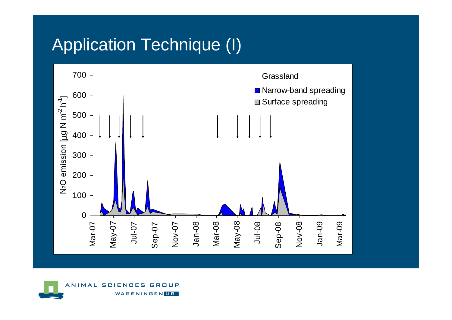## Application Technique (I)



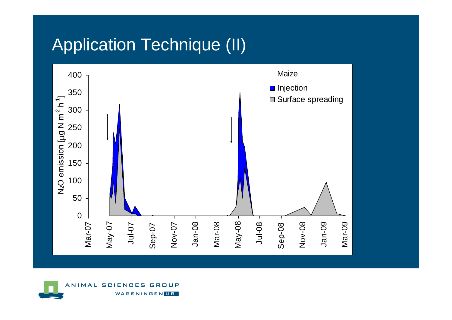#### Application Technique (II)



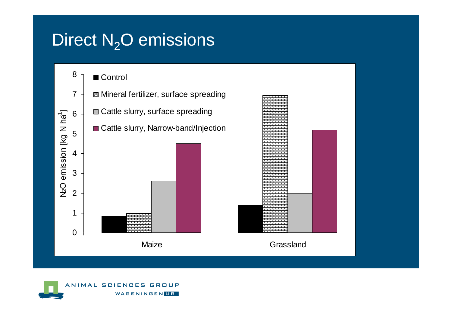#### Direct  $N_2O$  emissions



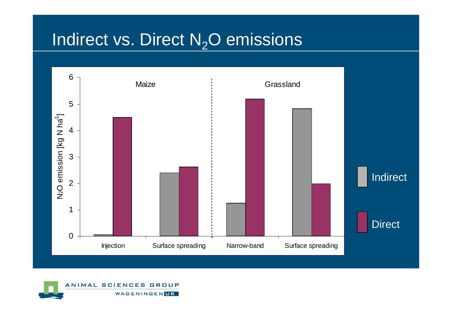## Indirect vs. Direct  $\mathsf{N}_2\mathsf{O}$  emissions



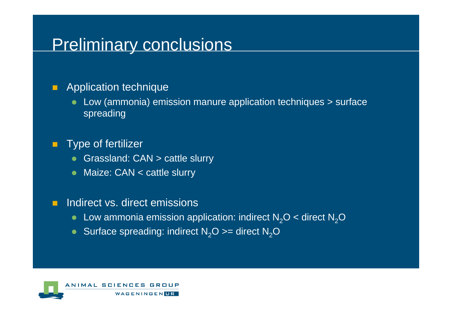#### **Preliminary conclusions**

#### **Application technique**

• Low (ammonia) emission manure application techniques > surface spreading

#### **Type of fertilizer**

- Grassland: CAN > cattle slurry
- Maize: CAN < cattle slurry

#### **The Co** Indirect vs. direct emissions

- Low ammonia emission application: indirect  $N_2O$  < direct  $N_2O$
- Surface spreading: indirect  $N_2O$  >= direct  $N_2O$